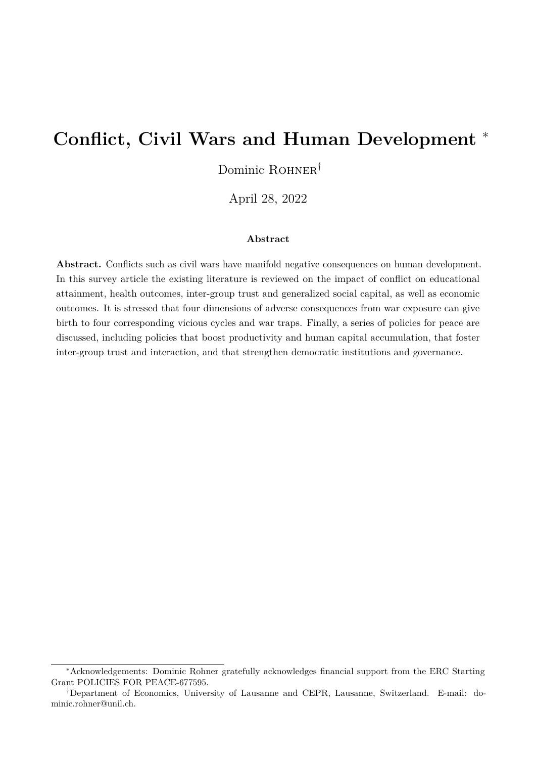# **Conflict, Civil Wars and Human Development** <sup>∗</sup>

Dominic ROHNER<sup>†</sup>

April 28, 2022

#### **Abstract**

**Abstract.** Conflicts such as civil wars have manifold negative consequences on human development. In this survey article the existing literature is reviewed on the impact of conflict on educational attainment, health outcomes, inter-group trust and generalized social capital, as well as economic outcomes. It is stressed that four dimensions of adverse consequences from war exposure can give birth to four corresponding vicious cycles and war traps. Finally, a series of policies for peace are discussed, including policies that boost productivity and human capital accumulation, that foster inter-group trust and interaction, and that strengthen democratic institutions and governance.

<sup>∗</sup>Acknowledgements: Dominic Rohner gratefully acknowledges financial support from the ERC Starting Grant POLICIES FOR PEACE-677595.

<sup>†</sup>Department of Economics, University of Lausanne and CEPR, Lausanne, Switzerland. E-mail: dominic.rohner@unil.ch.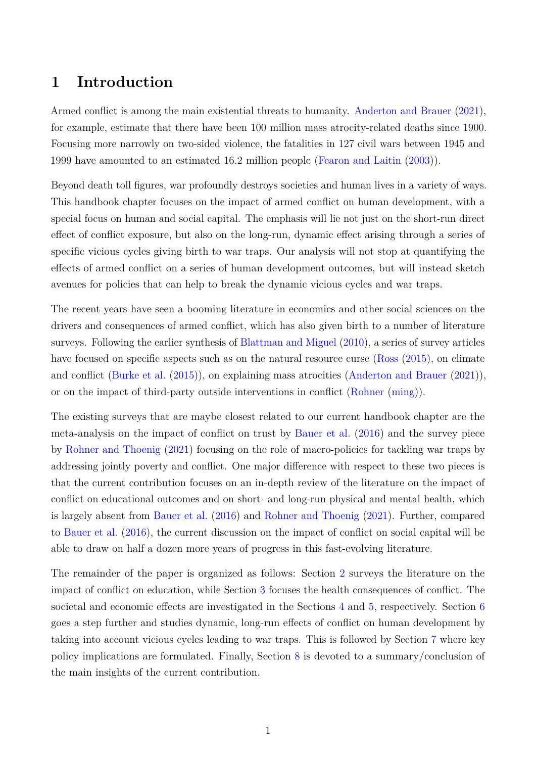## **1 Introduction**

Armed conflict is among the main existential threats to humanity. [Anderton and Brauer](#page-11-0) [\(2021\)](#page-11-0), for example, estimate that there have been 100 million mass atrocity-related deaths since 1900. Focusing more narrowly on two-sided violence, the fatalities in 127 civil wars between 1945 and 1999 have amounted to an estimated 16.2 million people [\(Fearon and Laitin](#page-13-0) [\(2003\)](#page-13-0)).

Beyond death toll figures, war profoundly destroys societies and human lives in a variety of ways. This handbook chapter focuses on the impact of armed conflict on human development, with a special focus on human and social capital. The emphasis will lie not just on the short-run direct effect of conflict exposure, but also on the long-run, dynamic effect arising through a series of specific vicious cycles giving birth to war traps. Our analysis will not stop at quantifying the effects of armed conflict on a series of human development outcomes, but will instead sketch avenues for policies that can help to break the dynamic vicious cycles and war traps.

The recent years have seen a booming literature in economics and other social sciences on the drivers and consequences of armed conflict, which has also given birth to a number of literature surveys. Following the earlier synthesis of [Blattman and Miguel](#page-11-1) [\(2010\)](#page-11-1), a series of survey articles have focused on specific aspects such as on the natural resource curse [\(Ross](#page-15-0)  $(2015)$ , on climate and conflict [\(Burke et al.](#page-11-2) [\(2015\)](#page-11-2)), on explaining mass atrocities [\(Anderton and Brauer](#page-11-0) [\(2021\)](#page-11-0)), or on the impact of third-party outside interventions in conflict [\(Rohner](#page-15-1) [\(ming\)](#page-15-1)).

The existing surveys that are maybe closest related to our current handbook chapter are the meta-analysis on the impact of conflict on trust by [Bauer et al.](#page-11-3) [\(2016\)](#page-11-3) and the survey piece by [Rohner and Thoenig](#page-15-2) [\(2021\)](#page-15-2) focusing on the role of macro-policies for tackling war traps by addressing jointly poverty and conflict. One major difference with respect to these two pieces is that the current contribution focuses on an in-depth review of the literature on the impact of conflict on educational outcomes and on short- and long-run physical and mental health, which is largely absent from [Bauer et al.](#page-11-3) [\(2016\)](#page-11-3) and [Rohner and Thoenig](#page-15-2) [\(2021\)](#page-15-2). Further, compared to [Bauer et al.](#page-11-3) [\(2016\)](#page-11-3), the current discussion on the impact of conflict on social capital will be able to draw on half a dozen more years of progress in this fast-evolving literature.

The remainder of the paper is organized as follows: Section [2](#page-2-0) surveys the literature on the impact of conflict on education, while Section [3](#page-3-0) focuses the health consequences of conflict. The societal and economic effects are investigated in the Sections [4](#page-4-0) and [5,](#page-6-0) respectively. Section [6](#page-7-0) goes a step further and studies dynamic, long-run effects of conflict on human development by taking into account vicious cycles leading to war traps. This is followed by Section [7](#page-8-0) where key policy implications are formulated. Finally, Section [8](#page-10-0) is devoted to a summary/conclusion of the main insights of the current contribution.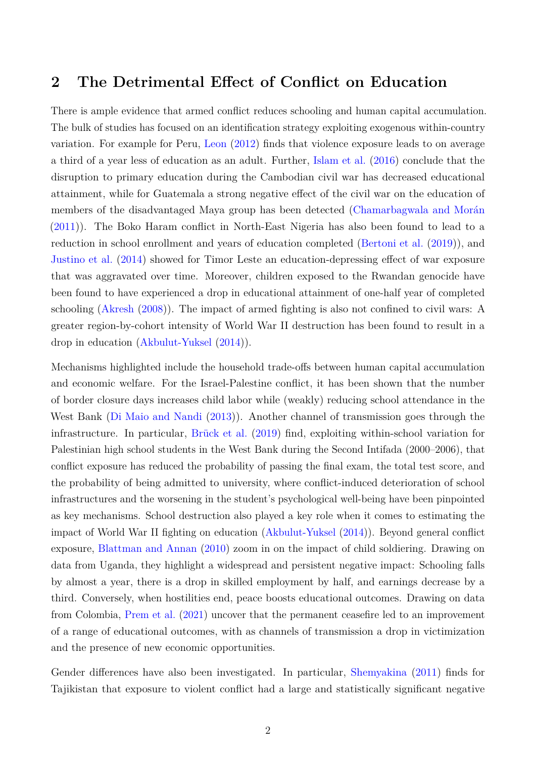### <span id="page-2-0"></span>**2 The Detrimental Effect of Conflict on Education**

There is ample evidence that armed conflict reduces schooling and human capital accumulation. The bulk of studies has focused on an identification strategy exploiting exogenous within-country variation. For example for Peru, [Leon](#page-14-0) [\(2012\)](#page-14-0) finds that violence exposure leads to on average a third of a year less of education as an adult. Further, [Islam et al.](#page-13-1) [\(2016\)](#page-13-1) conclude that the disruption to primary education during the Cambodian civil war has decreased educational attainment, while for Guatemala a strong negative effect of the civil war on the education of members of the disadvantaged Maya group has been detected [\(Chamarbagwala and Morán](#page-12-0) [\(2011\)](#page-12-0)). The Boko Haram conflict in North-East Nigeria has also been found to lead to a reduction in school enrollment and years of education completed [\(Bertoni et al.](#page-11-4) [\(2019\)](#page-11-4)), and [Justino et al.](#page-13-2) [\(2014\)](#page-13-2) showed for Timor Leste an education-depressing effect of war exposure that was aggravated over time. Moreover, children exposed to the Rwandan genocide have been found to have experienced a drop in educational attainment of one-half year of completed schooling [\(Akresh](#page-11-5) [\(2008\)](#page-11-5)). The impact of armed fighting is also not confined to civil wars: A greater region-by-cohort intensity of World War II destruction has been found to result in a drop in education [\(Akbulut-Yuksel](#page-10-1) [\(2014\)](#page-10-1)).

Mechanisms highlighted include the household trade-offs between human capital accumulation and economic welfare. For the Israel-Palestine conflict, it has been shown that the number of border closure days increases child labor while (weakly) reducing school attendance in the West Bank [\(Di Maio and Nandi](#page-12-1) [\(2013\)](#page-12-1)). Another channel of transmission goes through the infrastructure. In particular, [Brück et al.](#page-11-6) [\(2019\)](#page-11-6) find, exploiting within-school variation for Palestinian high school students in the West Bank during the Second Intifada (2000–2006), that conflict exposure has reduced the probability of passing the final exam, the total test score, and the probability of being admitted to university, where conflict-induced deterioration of school infrastructures and the worsening in the student's psychological well-being have been pinpointed as key mechanisms. School destruction also played a key role when it comes to estimating the impact of World War II fighting on education [\(Akbulut-Yuksel](#page-10-1) [\(2014\)](#page-10-1)). Beyond general conflict exposure, [Blattman and Annan](#page-11-7) [\(2010\)](#page-11-7) zoom in on the impact of child soldiering. Drawing on data from Uganda, they highlight a widespread and persistent negative impact: Schooling falls by almost a year, there is a drop in skilled employment by half, and earnings decrease by a third. Conversely, when hostilities end, peace boosts educational outcomes. Drawing on data from Colombia, [Prem et al.](#page-14-1) [\(2021\)](#page-14-1) uncover that the permanent ceasefire led to an improvement of a range of educational outcomes, with as channels of transmission a drop in victimization and the presence of new economic opportunities.

Gender differences have also been investigated. In particular, [Shemyakina](#page-15-3) [\(2011\)](#page-15-3) finds for Tajikistan that exposure to violent conflict had a large and statistically significant negative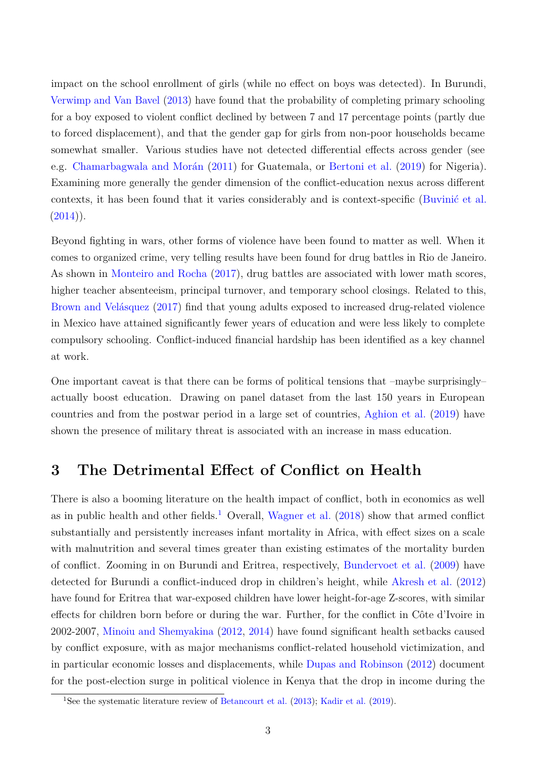impact on the school enrollment of girls (while no effect on boys was detected). In Burundi, [Verwimp and Van Bavel](#page-15-4) [\(2013\)](#page-15-4) have found that the probability of completing primary schooling for a boy exposed to violent conflict declined by between 7 and 17 percentage points (partly due to forced displacement), and that the gender gap for girls from non-poor households became somewhat smaller. Various studies have not detected differential effects across gender (see e.g. [Chamarbagwala and Morán](#page-12-0) [\(2011\)](#page-12-0) for Guatemala, or [Bertoni et al.](#page-11-4) [\(2019\)](#page-11-4) for Nigeria). Examining more generally the gender dimension of the conflict-education nexus across different contexts, it has been found that it varies considerably and is context-specific [\(Buvinić et al.](#page-12-2)  $(2014)$ ).

Beyond fighting in wars, other forms of violence have been found to matter as well. When it comes to organized crime, very telling results have been found for drug battles in Rio de Janeiro. As shown in [Monteiro and Rocha](#page-14-2) [\(2017\)](#page-14-2), drug battles are associated with lower math scores, higher teacher absenteeism, principal turnover, and temporary school closings. Related to this, [Brown and Velásquez](#page-11-8) [\(2017\)](#page-11-8) find that young adults exposed to increased drug-related violence in Mexico have attained significantly fewer years of education and were less likely to complete compulsory schooling. Conflict-induced financial hardship has been identified as a key channel at work.

One important caveat is that there can be forms of political tensions that –maybe surprisingly– actually boost education. Drawing on panel dataset from the last 150 years in European countries and from the postwar period in a large set of countries, [Aghion et al.](#page-10-2) [\(2019\)](#page-10-2) have shown the presence of military threat is associated with an increase in mass education.

## <span id="page-3-0"></span>**3 The Detrimental Effect of Conflict on Health**

There is also a booming literature on the health impact of conflict, both in economics as well as in public health and other fields.<sup>[1](#page-3-1)</sup> Overall, [Wagner et al.](#page-15-5)  $(2018)$  show that armed conflict substantially and persistently increases infant mortality in Africa, with effect sizes on a scale with malnutrition and several times greater than existing estimates of the mortality burden of conflict. Zooming in on Burundi and Eritrea, respectively, [Bundervoet et al.](#page-11-9) [\(2009\)](#page-11-9) have detected for Burundi a conflict-induced drop in children's height, while [Akresh et al.](#page-11-10) [\(2012\)](#page-11-10) have found for Eritrea that war-exposed children have lower height-for-age Z-scores, with similar effects for children born before or during the war. Further, for the conflict in Côte d'Ivoire in 2002-2007, [Minoiu and Shemyakina](#page-14-3) [\(2012,](#page-14-3) [2014\)](#page-14-4) have found significant health setbacks caused by conflict exposure, with as major mechanisms conflict-related household victimization, and in particular economic losses and displacements, while [Dupas and Robinson](#page-12-3) [\(2012\)](#page-12-3) document for the post-election surge in political violence in Kenya that the drop in income during the

<span id="page-3-1"></span><sup>&</sup>lt;sup>1</sup>See the systematic literature review of [Betancourt et al.](#page-11-11) [\(2013\)](#page-11-11); [Kadir et al.](#page-13-3) [\(2019\)](#page-13-3).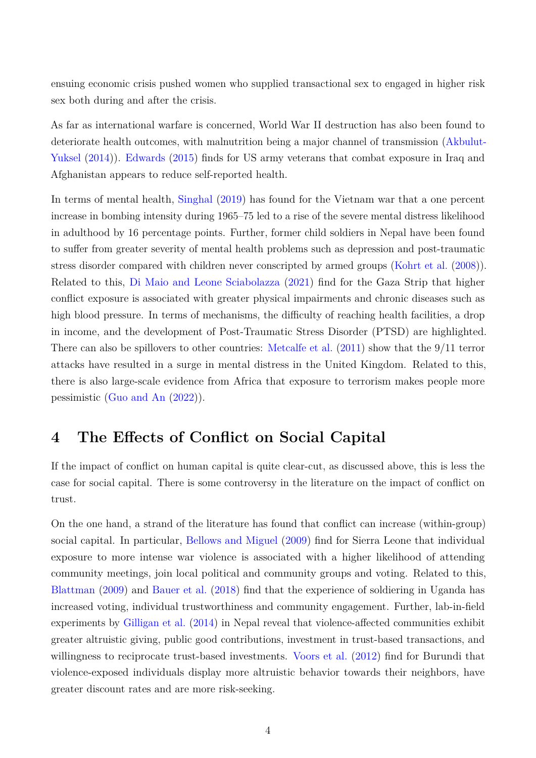ensuing economic crisis pushed women who supplied transactional sex to engaged in higher risk sex both during and after the crisis.

As far as international warfare is concerned, World War II destruction has also been found to deteriorate health outcomes, with malnutrition being a major channel of transmission [\(Akbulut-](#page-10-1)[Yuksel](#page-10-1) [\(2014\)](#page-10-1)). [Edwards](#page-13-4) [\(2015\)](#page-13-4) finds for US army veterans that combat exposure in Iraq and Afghanistan appears to reduce self-reported health.

In terms of mental health, [Singhal](#page-15-6) [\(2019\)](#page-15-6) has found for the Vietnam war that a one percent increase in bombing intensity during 1965–75 led to a rise of the severe mental distress likelihood in adulthood by 16 percentage points. Further, former child soldiers in Nepal have been found to suffer from greater severity of mental health problems such as depression and post-traumatic stress disorder compared with children never conscripted by armed groups [\(Kohrt et al.](#page-13-5) [\(2008\)](#page-13-5)). Related to this, [Di Maio and Leone Sciabolazza](#page-12-4) [\(2021\)](#page-12-4) find for the Gaza Strip that higher conflict exposure is associated with greater physical impairments and chronic diseases such as high blood pressure. In terms of mechanisms, the difficulty of reaching health facilities, a drop in income, and the development of Post-Traumatic Stress Disorder (PTSD) are highlighted. There can also be spillovers to other countries: [Metcalfe et al.](#page-14-5) [\(2011\)](#page-14-5) show that the 9/11 terror attacks have resulted in a surge in mental distress in the United Kingdom. Related to this, there is also large-scale evidence from Africa that exposure to terrorism makes people more pessimistic [\(Guo and An](#page-13-6) [\(2022\)](#page-13-6)).

## <span id="page-4-0"></span>**4 The Effects of Conflict on Social Capital**

If the impact of conflict on human capital is quite clear-cut, as discussed above, this is less the case for social capital. There is some controversy in the literature on the impact of conflict on trust.

On the one hand, a strand of the literature has found that conflict can increase (within-group) social capital. In particular, [Bellows and Miguel](#page-11-12) [\(2009\)](#page-11-12) find for Sierra Leone that individual exposure to more intense war violence is associated with a higher likelihood of attending community meetings, join local political and community groups and voting. Related to this, [Blattman](#page-11-13) [\(2009\)](#page-11-13) and [Bauer et al.](#page-11-14) [\(2018\)](#page-11-14) find that the experience of soldiering in Uganda has increased voting, individual trustworthiness and community engagement. Further, lab-in-field experiments by [Gilligan et al.](#page-13-7) [\(2014\)](#page-13-7) in Nepal reveal that violence-affected communities exhibit greater altruistic giving, public good contributions, investment in trust-based transactions, and willingness to reciprocate trust-based investments. [Voors et al.](#page-15-7) [\(2012\)](#page-15-7) find for Burundi that violence-exposed individuals display more altruistic behavior towards their neighbors, have greater discount rates and are more risk-seeking.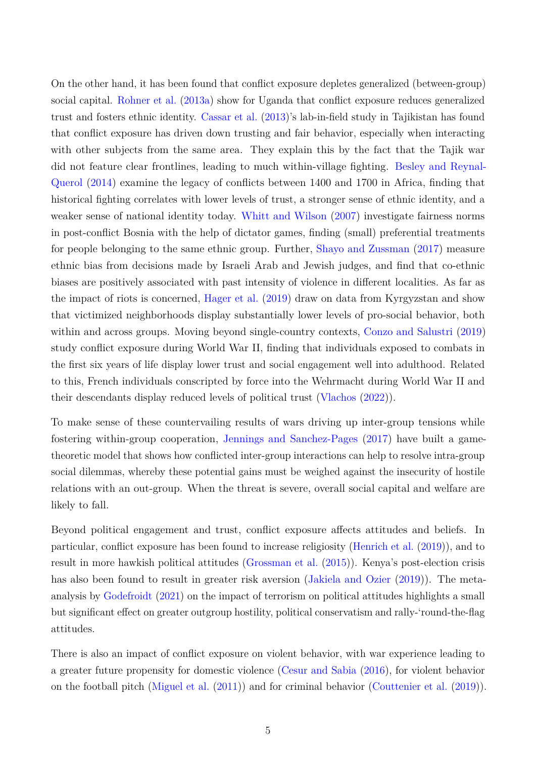On the other hand, it has been found that conflict exposure depletes generalized (between-group) social capital. [Rohner et al.](#page-15-8) [\(2013a\)](#page-15-8) show for Uganda that conflict exposure reduces generalized trust and fosters ethnic identity. [Cassar et al.](#page-12-5) [\(2013\)](#page-12-5)'s lab-in-field study in Tajikistan has found that conflict exposure has driven down trusting and fair behavior, especially when interacting with other subjects from the same area. They explain this by the fact that the Tajik war did not feature clear frontlines, leading to much within-village fighting. [Besley and Reynal-](#page-11-15)[Querol](#page-11-15) [\(2014\)](#page-11-15) examine the legacy of conflicts between 1400 and 1700 in Africa, finding that historical fighting correlates with lower levels of trust, a stronger sense of ethnic identity, and a weaker sense of national identity today. [Whitt and Wilson](#page-15-9) [\(2007\)](#page-15-9) investigate fairness norms in post-conflict Bosnia with the help of dictator games, finding (small) preferential treatments for people belonging to the same ethnic group. Further, [Shayo and Zussman](#page-15-10) [\(2017\)](#page-15-10) measure ethnic bias from decisions made by Israeli Arab and Jewish judges, and find that co-ethnic biases are positively associated with past intensity of violence in different localities. As far as the impact of riots is concerned, [Hager et al.](#page-13-8) [\(2019\)](#page-13-8) draw on data from Kyrgyzstan and show that victimized neighborhoods display substantially lower levels of pro-social behavior, both within and across groups. Moving beyond single-country contexts, [Conzo and Salustri](#page-12-6) [\(2019\)](#page-12-6) study conflict exposure during World War II, finding that individuals exposed to combats in the first six years of life display lower trust and social engagement well into adulthood. Related to this, French individuals conscripted by force into the Wehrmacht during World War II and their descendants display reduced levels of political trust [\(Vlachos](#page-15-11) [\(2022\)](#page-15-11)).

To make sense of these countervailing results of wars driving up inter-group tensions while fostering within-group cooperation, [Jennings and Sanchez-Pages](#page-13-9) [\(2017\)](#page-13-9) have built a gametheoretic model that shows how conflicted inter-group interactions can help to resolve intra-group social dilemmas, whereby these potential gains must be weighed against the insecurity of hostile relations with an out-group. When the threat is severe, overall social capital and welfare are likely to fall.

Beyond political engagement and trust, conflict exposure affects attitudes and beliefs. In particular, conflict exposure has been found to increase religiosity [\(Henrich et al.](#page-13-10) [\(2019\)](#page-13-10)), and to result in more hawkish political attitudes [\(Grossman et al.](#page-13-11) [\(2015\)](#page-13-11)). Kenya's post-election crisis has also been found to result in greater risk aversion [\(Jakiela and Ozier](#page-13-12) [\(2019\)](#page-13-12)). The metaanalysis by [Godefroidt](#page-13-13) [\(2021\)](#page-13-13) on the impact of terrorism on political attitudes highlights a small but significant effect on greater outgroup hostility, political conservatism and rally-'round-the-flag attitudes.

There is also an impact of conflict exposure on violent behavior, with war experience leading to a greater future propensity for domestic violence [\(Cesur and Sabia](#page-12-7) [\(2016\)](#page-12-7), for violent behavior on the football pitch [\(Miguel et al.](#page-14-6) [\(2011\)](#page-14-6)) and for criminal behavior [\(Couttenier et al.](#page-12-8) [\(2019\)](#page-12-8)).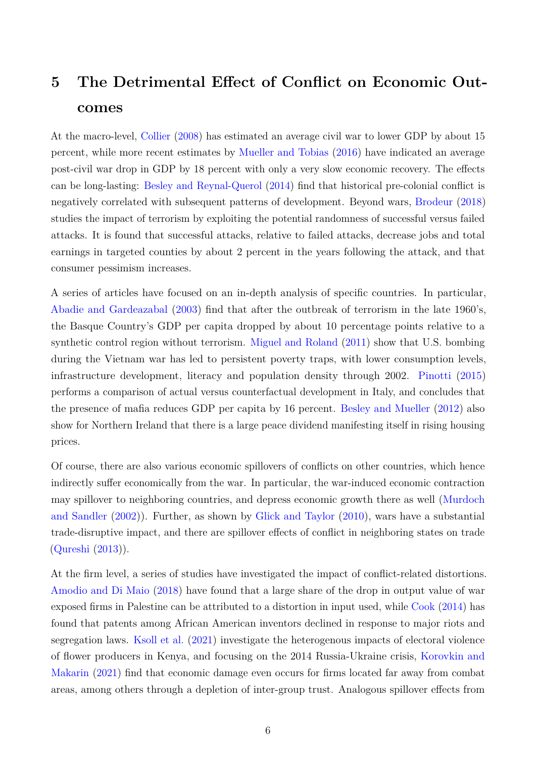## <span id="page-6-0"></span>**5 The Detrimental Effect of Conflict on Economic Outcomes**

At the macro-level, [Collier](#page-12-9) [\(2008\)](#page-12-9) has estimated an average civil war to lower GDP by about 15 percent, while more recent estimates by [Mueller and Tobias](#page-14-7) [\(2016\)](#page-14-7) have indicated an average post-civil war drop in GDP by 18 percent with only a very slow economic recovery. The effects can be long-lasting: [Besley and Reynal-Querol](#page-11-15) [\(2014\)](#page-11-15) find that historical pre-colonial conflict is negatively correlated with subsequent patterns of development. Beyond wars, [Brodeur](#page-11-16) [\(2018\)](#page-11-16) studies the impact of terrorism by exploiting the potential randomness of successful versus failed attacks. It is found that successful attacks, relative to failed attacks, decrease jobs and total earnings in targeted counties by about 2 percent in the years following the attack, and that consumer pessimism increases.

A series of articles have focused on an in-depth analysis of specific countries. In particular, [Abadie and Gardeazabal](#page-10-3) [\(2003\)](#page-10-3) find that after the outbreak of terrorism in the late 1960's, the Basque Country's GDP per capita dropped by about 10 percentage points relative to a synthetic control region without terrorism. [Miguel and Roland](#page-14-8) [\(2011\)](#page-14-8) show that U.S. bombing during the Vietnam war has led to persistent poverty traps, with lower consumption levels, infrastructure development, literacy and population density through 2002. [Pinotti](#page-14-9) [\(2015\)](#page-14-9) performs a comparison of actual versus counterfactual development in Italy, and concludes that the presence of mafia reduces GDP per capita by 16 percent. [Besley and Mueller](#page-11-17) [\(2012\)](#page-11-17) also show for Northern Ireland that there is a large peace dividend manifesting itself in rising housing prices.

Of course, there are also various economic spillovers of conflicts on other countries, which hence indirectly suffer economically from the war. In particular, the war-induced economic contraction may spillover to neighboring countries, and depress economic growth there as well [\(Murdoch](#page-14-10) [and Sandler](#page-14-10) [\(2002\)](#page-14-10)). Further, as shown by [Glick and Taylor](#page-13-14) [\(2010\)](#page-13-14), wars have a substantial trade-disruptive impact, and there are spillover effects of conflict in neighboring states on trade [\(Qureshi](#page-14-11) [\(2013\)](#page-14-11)).

At the firm level, a series of studies have investigated the impact of conflict-related distortions. [Amodio and Di Maio](#page-11-18) [\(2018\)](#page-11-18) have found that a large share of the drop in output value of war exposed firms in Palestine can be attributed to a distortion in input used, while [Cook](#page-12-10) [\(2014\)](#page-12-10) has found that patents among African American inventors declined in response to major riots and segregation laws. [Ksoll et al.](#page-14-12) [\(2021\)](#page-14-12) investigate the heterogenous impacts of electoral violence of flower producers in Kenya, and focusing on the 2014 Russia-Ukraine crisis, [Korovkin and](#page-14-13) [Makarin](#page-14-13) [\(2021\)](#page-14-13) find that economic damage even occurs for firms located far away from combat areas, among others through a depletion of inter-group trust. Analogous spillover effects from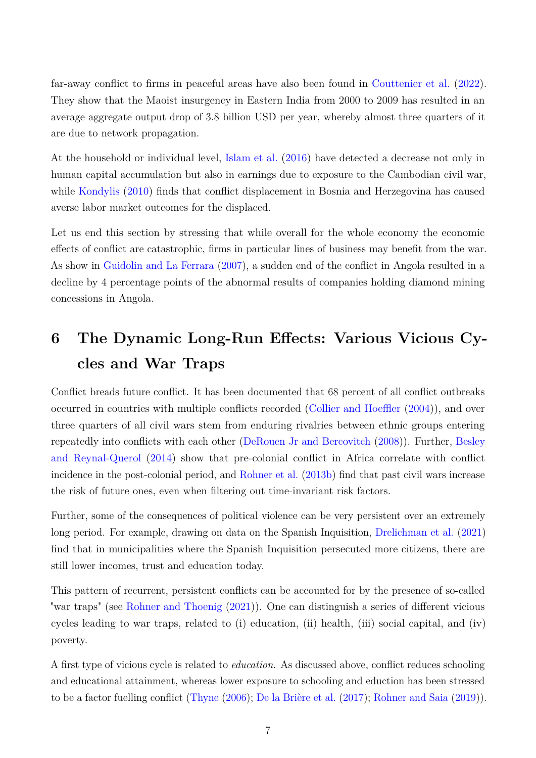far-away conflict to firms in peaceful areas have also been found in [Couttenier et al.](#page-12-11) [\(2022\)](#page-12-11). They show that the Maoist insurgency in Eastern India from 2000 to 2009 has resulted in an average aggregate output drop of 3.8 billion USD per year, whereby almost three quarters of it are due to network propagation.

At the household or individual level, [Islam et al.](#page-13-1) [\(2016\)](#page-13-1) have detected a decrease not only in human capital accumulation but also in earnings due to exposure to the Cambodian civil war, while [Kondylis](#page-14-14) [\(2010\)](#page-14-14) finds that conflict displacement in Bosnia and Herzegovina has caused averse labor market outcomes for the displaced.

Let us end this section by stressing that while overall for the whole economy the economic effects of conflict are catastrophic, firms in particular lines of business may benefit from the war. As show in [Guidolin and La Ferrara](#page-13-15) [\(2007\)](#page-13-15), a sudden end of the conflict in Angola resulted in a decline by 4 percentage points of the abnormal results of companies holding diamond mining concessions in Angola.

## <span id="page-7-0"></span>**6 The Dynamic Long-Run Effects: Various Vicious Cycles and War Traps**

Conflict breads future conflict. It has been documented that 68 percent of all conflict outbreaks occurred in countries with multiple conflicts recorded [\(Collier and Hoeffler](#page-12-12) [\(2004\)](#page-12-12)), and over three quarters of all civil wars stem from enduring rivalries between ethnic groups entering repeatedly into conflicts with each other [\(DeRouen Jr and Bercovitch](#page-12-13) [\(2008\)](#page-12-13)). Further, [Besley](#page-11-15) [and Reynal-Querol](#page-11-15) [\(2014\)](#page-11-15) show that pre-colonial conflict in Africa correlate with conflict incidence in the post-colonial period, and [Rohner et al.](#page-15-12) [\(2013b\)](#page-15-12) find that past civil wars increase the risk of future ones, even when filtering out time-invariant risk factors.

Further, some of the consequences of political violence can be very persistent over an extremely long period. For example, drawing on data on the Spanish Inquisition, [Drelichman et al.](#page-12-14) [\(2021\)](#page-12-14) find that in municipalities where the Spanish Inquisition persecuted more citizens, there are still lower incomes, trust and education today.

This pattern of recurrent, persistent conflicts can be accounted for by the presence of so-called "war traps" (see [Rohner and Thoenig](#page-15-2) [\(2021\)](#page-15-2)). One can distinguish a series of different vicious cycles leading to war traps, related to (i) education, (ii) health, (iii) social capital, and (iv) poverty.

A first type of vicious cycle is related to *education*. As discussed above, conflict reduces schooling and educational attainment, whereas lower exposure to schooling and eduction has been stressed to be a factor fuelling conflict [\(Thyne](#page-15-13) [\(2006\)](#page-15-13); [De la Brière et al.](#page-12-15) [\(2017\)](#page-12-15); [Rohner and Saia](#page-15-14) [\(2019\)](#page-15-14)).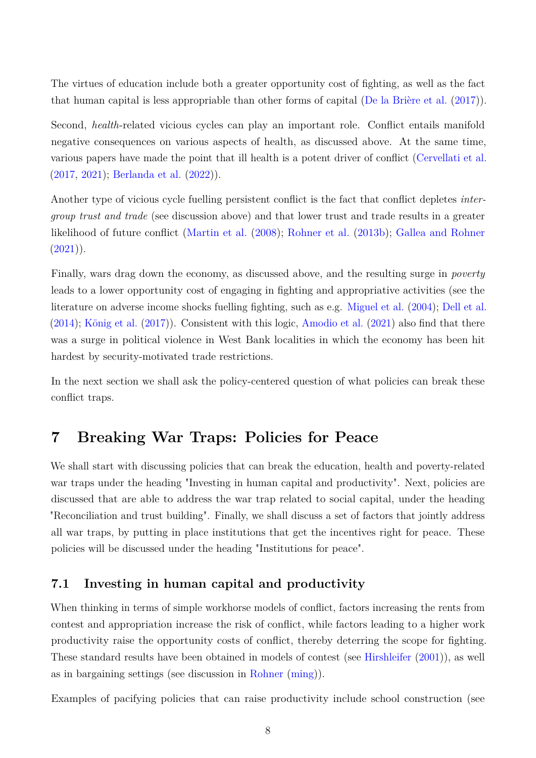The virtues of education include both a greater opportunity cost of fighting, as well as the fact that human capital is less appropriable than other forms of capital [\(De la Brière et al.](#page-12-15) [\(2017\)](#page-12-15)).

Second, *health*-related vicious cycles can play an important role. Conflict entails manifold negative consequences on various aspects of health, as discussed above. At the same time, various papers have made the point that ill health is a potent driver of conflict [\(Cervellati et al.](#page-12-16) [\(2017,](#page-12-16) [2021\)](#page-12-17); [Berlanda et al.](#page-11-19) [\(2022\)](#page-11-19)).

Another type of vicious cycle fuelling persistent conflict is the fact that conflict depletes *intergroup trust and trade* (see discussion above) and that lower trust and trade results in a greater likelihood of future conflict [\(Martin et al.](#page-14-15) [\(2008\)](#page-14-15); [Rohner et al.](#page-15-12) [\(2013b\)](#page-15-12); [Gallea and Rohner](#page-13-16)  $(2021)$ ).

Finally, wars drag down the economy, as discussed above, and the resulting surge in *poverty* leads to a lower opportunity cost of engaging in fighting and appropriative activities (see the literature on adverse income shocks fuelling fighting, such as e.g. [Miguel et al.](#page-14-16) [\(2004\)](#page-14-16); [Dell et al.](#page-12-18) [\(2014\)](#page-12-18); [König et al.](#page-14-17) [\(2017\)](#page-14-17)). Consistent with this logic, [Amodio et al.](#page-11-20) [\(2021\)](#page-11-20) also find that there was a surge in political violence in West Bank localities in which the economy has been hit hardest by security-motivated trade restrictions.

In the next section we shall ask the policy-centered question of what policies can break these conflict traps.

## <span id="page-8-0"></span>**7 Breaking War Traps: Policies for Peace**

We shall start with discussing policies that can break the education, health and poverty-related war traps under the heading "Investing in human capital and productivity". Next, policies are discussed that are able to address the war trap related to social capital, under the heading "Reconciliation and trust building". Finally, we shall discuss a set of factors that jointly address all war traps, by putting in place institutions that get the incentives right for peace. These policies will be discussed under the heading "Institutions for peace".

#### **7.1 Investing in human capital and productivity**

When thinking in terms of simple workhorse models of conflict, factors increasing the rents from contest and appropriation increase the risk of conflict, while factors leading to a higher work productivity raise the opportunity costs of conflict, thereby deterring the scope for fighting. These standard results have been obtained in models of contest (see [Hirshleifer](#page-13-17) [\(2001\)](#page-13-17)), as well as in bargaining settings (see discussion in [Rohner](#page-15-1) [\(ming\)](#page-15-1)).

Examples of pacifying policies that can raise productivity include school construction (see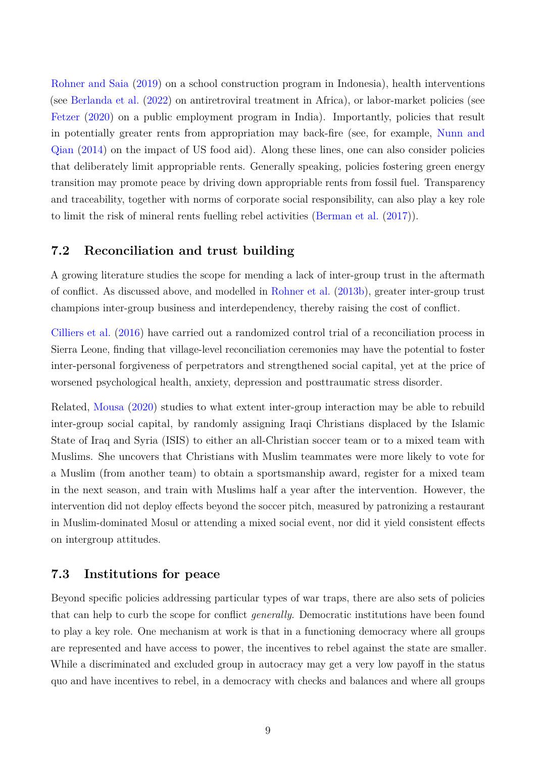[Rohner and Saia](#page-15-14) [\(2019\)](#page-15-14) on a school construction program in Indonesia), health interventions (see [Berlanda et al.](#page-11-19) [\(2022\)](#page-11-19) on antiretroviral treatment in Africa), or labor-market policies (see [Fetzer](#page-13-18) [\(2020\)](#page-13-18) on a public employment program in India). Importantly, policies that result in potentially greater rents from appropriation may back-fire (see, for example, [Nunn and](#page-14-18) [Qian](#page-14-18) [\(2014\)](#page-14-18) on the impact of US food aid). Along these lines, one can also consider policies that deliberately limit appropriable rents. Generally speaking, policies fostering green energy transition may promote peace by driving down appropriable rents from fossil fuel. Transparency and traceability, together with norms of corporate social responsibility, can also play a key role to limit the risk of mineral rents fuelling rebel activities [\(Berman et al.](#page-11-21) [\(2017\)](#page-11-21)).

### **7.2 Reconciliation and trust building**

A growing literature studies the scope for mending a lack of inter-group trust in the aftermath of conflict. As discussed above, and modelled in [Rohner et al.](#page-15-12) [\(2013b\)](#page-15-12), greater inter-group trust champions inter-group business and interdependency, thereby raising the cost of conflict.

[Cilliers et al.](#page-12-19) [\(2016\)](#page-12-19) have carried out a randomized control trial of a reconciliation process in Sierra Leone, finding that village-level reconciliation ceremonies may have the potential to foster inter-personal forgiveness of perpetrators and strengthened social capital, yet at the price of worsened psychological health, anxiety, depression and posttraumatic stress disorder.

Related, [Mousa](#page-14-19) [\(2020\)](#page-14-19) studies to what extent inter-group interaction may be able to rebuild inter-group social capital, by randomly assigning Iraqi Christians displaced by the Islamic State of Iraq and Syria (ISIS) to either an all-Christian soccer team or to a mixed team with Muslims. She uncovers that Christians with Muslim teammates were more likely to vote for a Muslim (from another team) to obtain a sportsmanship award, register for a mixed team in the next season, and train with Muslims half a year after the intervention. However, the intervention did not deploy effects beyond the soccer pitch, measured by patronizing a restaurant in Muslim-dominated Mosul or attending a mixed social event, nor did it yield consistent effects on intergroup attitudes.

#### **7.3 Institutions for peace**

Beyond specific policies addressing particular types of war traps, there are also sets of policies that can help to curb the scope for conflict *generally*. Democratic institutions have been found to play a key role. One mechanism at work is that in a functioning democracy where all groups are represented and have access to power, the incentives to rebel against the state are smaller. While a discriminated and excluded group in autocracy may get a very low payoff in the status quo and have incentives to rebel, in a democracy with checks and balances and where all groups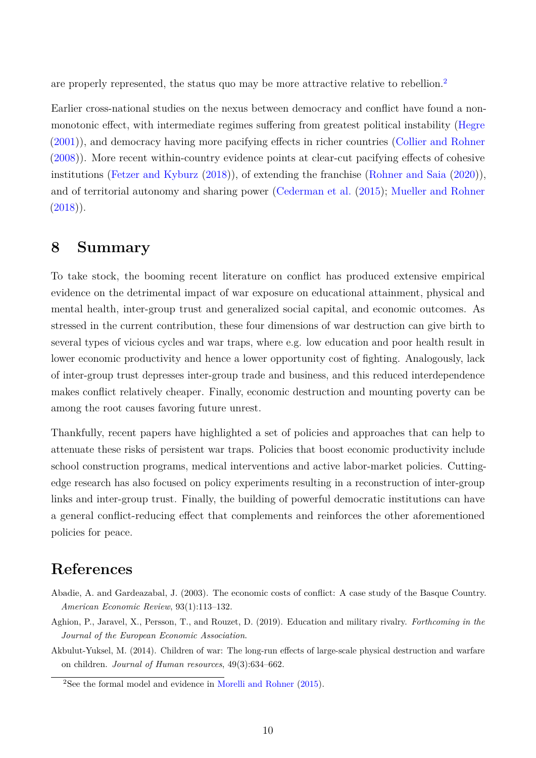are properly represented, the status quo may be more attractive relative to rebellion.<sup>[2](#page-10-4)</sup>

Earlier cross-national studies on the nexus between democracy and conflict have found a nonmonotonic effect, with intermediate regimes suffering from greatest political instability [\(Hegre](#page-13-19) [\(2001\)](#page-13-19)), and democracy having more pacifying effects in richer countries [\(Collier and Rohner](#page-12-20) [\(2008\)](#page-12-20)). More recent within-country evidence points at clear-cut pacifying effects of cohesive institutions [\(Fetzer and Kyburz](#page-13-20) [\(2018\)](#page-13-20)), of extending the franchise [\(Rohner and Saia](#page-15-15) [\(2020\)](#page-15-15)), and of territorial autonomy and sharing power [\(Cederman et al.](#page-12-21) [\(2015\)](#page-12-21); [Mueller and Rohner](#page-14-20)  $(2018)$ .

## <span id="page-10-0"></span>**8 Summary**

To take stock, the booming recent literature on conflict has produced extensive empirical evidence on the detrimental impact of war exposure on educational attainment, physical and mental health, inter-group trust and generalized social capital, and economic outcomes. As stressed in the current contribution, these four dimensions of war destruction can give birth to several types of vicious cycles and war traps, where e.g. low education and poor health result in lower economic productivity and hence a lower opportunity cost of fighting. Analogously, lack of inter-group trust depresses inter-group trade and business, and this reduced interdependence makes conflict relatively cheaper. Finally, economic destruction and mounting poverty can be among the root causes favoring future unrest.

Thankfully, recent papers have highlighted a set of policies and approaches that can help to attenuate these risks of persistent war traps. Policies that boost economic productivity include school construction programs, medical interventions and active labor-market policies. Cuttingedge research has also focused on policy experiments resulting in a reconstruction of inter-group links and inter-group trust. Finally, the building of powerful democratic institutions can have a general conflict-reducing effect that complements and reinforces the other aforementioned policies for peace.

## **References**

- <span id="page-10-3"></span>Abadie, A. and Gardeazabal, J. (2003). The economic costs of conflict: A case study of the Basque Country. *American Economic Review*, 93(1):113–132.
- <span id="page-10-2"></span>Aghion, P., Jaravel, X., Persson, T., and Rouzet, D. (2019). Education and military rivalry. *Forthcoming in the Journal of the European Economic Association*.
- <span id="page-10-1"></span>Akbulut-Yuksel, M. (2014). Children of war: The long-run effects of large-scale physical destruction and warfare on children. *Journal of Human resources*, 49(3):634–662.

<span id="page-10-4"></span><sup>2</sup>See the formal model and evidence in [Morelli and Rohner](#page-14-21) [\(2015\)](#page-14-21).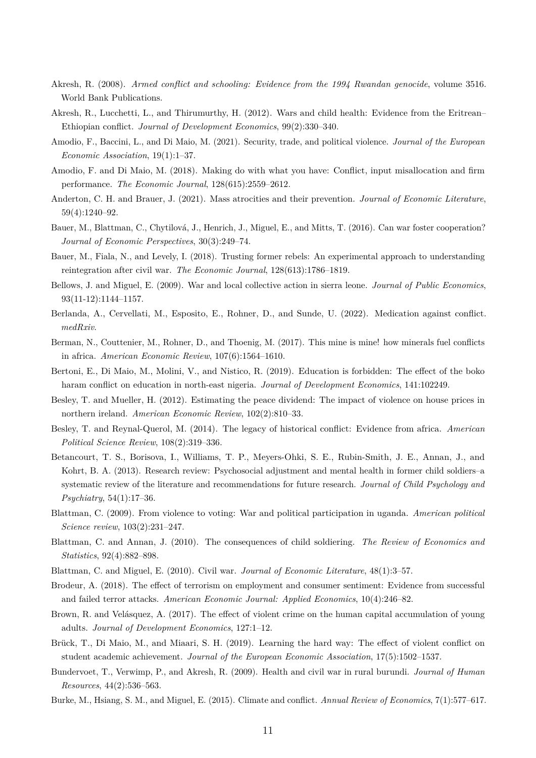- <span id="page-11-5"></span>Akresh, R. (2008). *Armed conflict and schooling: Evidence from the 1994 Rwandan genocide*, volume 3516. World Bank Publications.
- <span id="page-11-10"></span>Akresh, R., Lucchetti, L., and Thirumurthy, H. (2012). Wars and child health: Evidence from the Eritrean– Ethiopian conflict. *Journal of Development Economics*, 99(2):330–340.
- <span id="page-11-20"></span>Amodio, F., Baccini, L., and Di Maio, M. (2021). Security, trade, and political violence. *Journal of the European Economic Association*, 19(1):1–37.
- <span id="page-11-18"></span>Amodio, F. and Di Maio, M. (2018). Making do with what you have: Conflict, input misallocation and firm performance. *The Economic Journal*, 128(615):2559–2612.
- <span id="page-11-0"></span>Anderton, C. H. and Brauer, J. (2021). Mass atrocities and their prevention. *Journal of Economic Literature*, 59(4):1240–92.
- <span id="page-11-3"></span>Bauer, M., Blattman, C., Chytilová, J., Henrich, J., Miguel, E., and Mitts, T. (2016). Can war foster cooperation? *Journal of Economic Perspectives*, 30(3):249–74.
- <span id="page-11-14"></span>Bauer, M., Fiala, N., and Levely, I. (2018). Trusting former rebels: An experimental approach to understanding reintegration after civil war. *The Economic Journal*, 128(613):1786–1819.
- <span id="page-11-12"></span>Bellows, J. and Miguel, E. (2009). War and local collective action in sierra leone. *Journal of Public Economics*, 93(11-12):1144–1157.
- <span id="page-11-19"></span>Berlanda, A., Cervellati, M., Esposito, E., Rohner, D., and Sunde, U. (2022). Medication against conflict. *medRxiv*.
- <span id="page-11-21"></span>Berman, N., Couttenier, M., Rohner, D., and Thoenig, M. (2017). This mine is mine! how minerals fuel conflicts in africa. *American Economic Review*, 107(6):1564–1610.
- <span id="page-11-4"></span>Bertoni, E., Di Maio, M., Molini, V., and Nistico, R. (2019). Education is forbidden: The effect of the boko haram conflict on education in north-east nigeria. *Journal of Development Economics*, 141:102249.
- <span id="page-11-17"></span>Besley, T. and Mueller, H. (2012). Estimating the peace dividend: The impact of violence on house prices in northern ireland. *American Economic Review*, 102(2):810–33.
- <span id="page-11-15"></span>Besley, T. and Reynal-Querol, M. (2014). The legacy of historical conflict: Evidence from africa. *American Political Science Review*, 108(2):319–336.
- <span id="page-11-11"></span>Betancourt, T. S., Borisova, I., Williams, T. P., Meyers-Ohki, S. E., Rubin-Smith, J. E., Annan, J., and Kohrt, B. A. (2013). Research review: Psychosocial adjustment and mental health in former child soldiers–a systematic review of the literature and recommendations for future research. *Journal of Child Psychology and Psychiatry*, 54(1):17–36.
- <span id="page-11-13"></span>Blattman, C. (2009). From violence to voting: War and political participation in uganda. *American political Science review*, 103(2):231–247.
- <span id="page-11-7"></span>Blattman, C. and Annan, J. (2010). The consequences of child soldiering. *The Review of Economics and Statistics*, 92(4):882–898.
- <span id="page-11-1"></span>Blattman, C. and Miguel, E. (2010). Civil war. *Journal of Economic Literature*, 48(1):3–57.
- <span id="page-11-16"></span>Brodeur, A. (2018). The effect of terrorism on employment and consumer sentiment: Evidence from successful and failed terror attacks. *American Economic Journal: Applied Economics*, 10(4):246–82.
- <span id="page-11-8"></span>Brown, R. and Velásquez, A. (2017). The effect of violent crime on the human capital accumulation of young adults. *Journal of Development Economics*, 127:1–12.
- <span id="page-11-6"></span>Brück, T., Di Maio, M., and Miaari, S. H. (2019). Learning the hard way: The effect of violent conflict on student academic achievement. *Journal of the European Economic Association*, 17(5):1502–1537.
- <span id="page-11-9"></span>Bundervoet, T., Verwimp, P., and Akresh, R. (2009). Health and civil war in rural burundi. *Journal of Human Resources*, 44(2):536–563.
- <span id="page-11-2"></span>Burke, M., Hsiang, S. M., and Miguel, E. (2015). Climate and conflict. *Annual Review of Economics*, 7(1):577–617.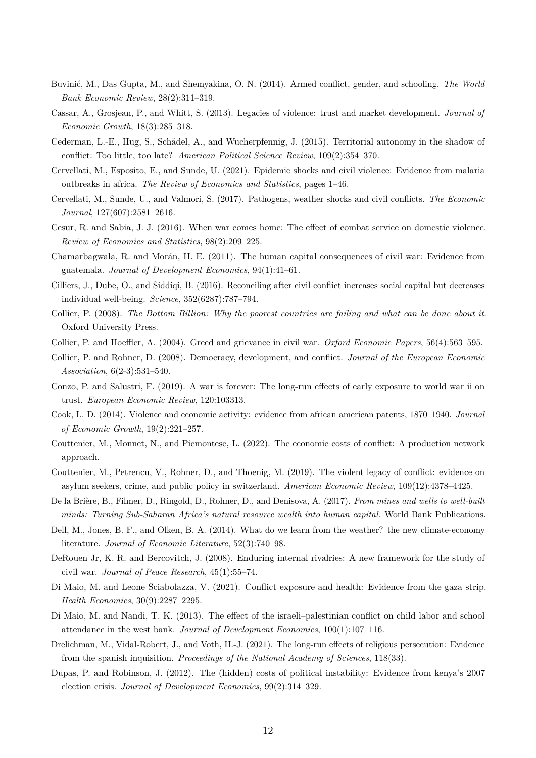- <span id="page-12-2"></span>Buvinić, M., Das Gupta, M., and Shemyakina, O. N. (2014). Armed conflict, gender, and schooling. *The World Bank Economic Review*, 28(2):311–319.
- <span id="page-12-5"></span>Cassar, A., Grosjean, P., and Whitt, S. (2013). Legacies of violence: trust and market development. *Journal of Economic Growth*, 18(3):285–318.
- <span id="page-12-21"></span>Cederman, L.-E., Hug, S., Schädel, A., and Wucherpfennig, J. (2015). Territorial autonomy in the shadow of conflict: Too little, too late? *American Political Science Review*, 109(2):354–370.
- <span id="page-12-17"></span>Cervellati, M., Esposito, E., and Sunde, U. (2021). Epidemic shocks and civil violence: Evidence from malaria outbreaks in africa. *The Review of Economics and Statistics*, pages 1–46.
- <span id="page-12-16"></span>Cervellati, M., Sunde, U., and Valmori, S. (2017). Pathogens, weather shocks and civil conflicts. *The Economic Journal*, 127(607):2581–2616.
- <span id="page-12-7"></span>Cesur, R. and Sabia, J. J. (2016). When war comes home: The effect of combat service on domestic violence. *Review of Economics and Statistics*, 98(2):209–225.
- <span id="page-12-0"></span>Chamarbagwala, R. and Morán, H. E. (2011). The human capital consequences of civil war: Evidence from guatemala. *Journal of Development Economics*, 94(1):41–61.
- <span id="page-12-19"></span>Cilliers, J., Dube, O., and Siddiqi, B. (2016). Reconciling after civil conflict increases social capital but decreases individual well-being. *Science*, 352(6287):787–794.
- <span id="page-12-9"></span>Collier, P. (2008). *The Bottom Billion: Why the poorest countries are failing and what can be done about it*. Oxford University Press.
- <span id="page-12-12"></span>Collier, P. and Hoeffler, A. (2004). Greed and grievance in civil war. *Oxford Economic Papers*, 56(4):563–595.
- <span id="page-12-20"></span>Collier, P. and Rohner, D. (2008). Democracy, development, and conflict. *Journal of the European Economic Association*, 6(2-3):531–540.
- <span id="page-12-6"></span>Conzo, P. and Salustri, F. (2019). A war is forever: The long-run effects of early exposure to world war ii on trust. *European Economic Review*, 120:103313.
- <span id="page-12-10"></span>Cook, L. D. (2014). Violence and economic activity: evidence from african american patents, 1870–1940. *Journal of Economic Growth*, 19(2):221–257.
- <span id="page-12-11"></span>Couttenier, M., Monnet, N., and Piemontese, L. (2022). The economic costs of conflict: A production network approach.
- <span id="page-12-8"></span>Couttenier, M., Petrencu, V., Rohner, D., and Thoenig, M. (2019). The violent legacy of conflict: evidence on asylum seekers, crime, and public policy in switzerland. *American Economic Review*, 109(12):4378–4425.
- <span id="page-12-15"></span>De la Brière, B., Filmer, D., Ringold, D., Rohner, D., and Denisova, A. (2017). *From mines and wells to well-built minds: Turning Sub-Saharan Africa's natural resource wealth into human capital*. World Bank Publications.
- <span id="page-12-18"></span>Dell, M., Jones, B. F., and Olken, B. A. (2014). What do we learn from the weather? the new climate-economy literature. *Journal of Economic Literature*, 52(3):740–98.
- <span id="page-12-13"></span>DeRouen Jr, K. R. and Bercovitch, J. (2008). Enduring internal rivalries: A new framework for the study of civil war. *Journal of Peace Research*, 45(1):55–74.
- <span id="page-12-4"></span>Di Maio, M. and Leone Sciabolazza, V. (2021). Conflict exposure and health: Evidence from the gaza strip. *Health Economics*, 30(9):2287–2295.
- <span id="page-12-1"></span>Di Maio, M. and Nandi, T. K. (2013). The effect of the israeli–palestinian conflict on child labor and school attendance in the west bank. *Journal of Development Economics*, 100(1):107–116.
- <span id="page-12-14"></span>Drelichman, M., Vidal-Robert, J., and Voth, H.-J. (2021). The long-run effects of religious persecution: Evidence from the spanish inquisition. *Proceedings of the National Academy of Sciences*, 118(33).
- <span id="page-12-3"></span>Dupas, P. and Robinson, J. (2012). The (hidden) costs of political instability: Evidence from kenya's 2007 election crisis. *Journal of Development Economics*, 99(2):314–329.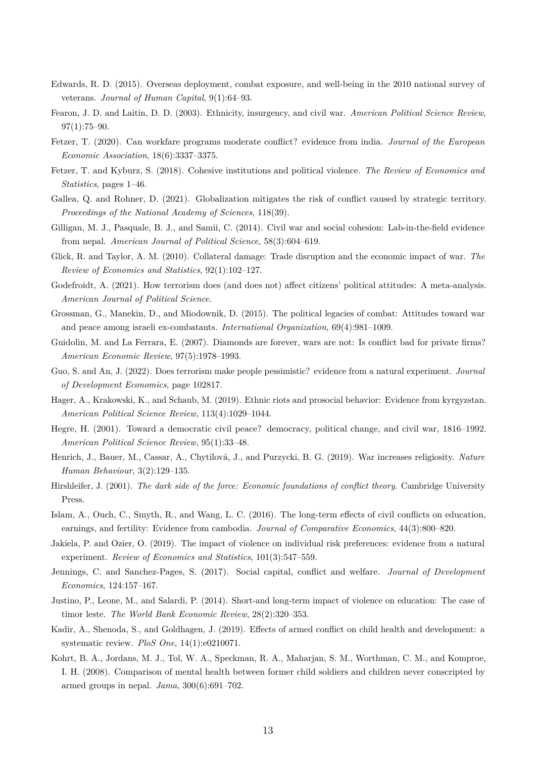- <span id="page-13-4"></span>Edwards, R. D. (2015). Overseas deployment, combat exposure, and well-being in the 2010 national survey of veterans. *Journal of Human Capital*, 9(1):64–93.
- <span id="page-13-0"></span>Fearon, J. D. and Laitin, D. D. (2003). Ethnicity, insurgency, and civil war. *American Political Science Review*, 97(1):75–90.
- <span id="page-13-18"></span>Fetzer, T. (2020). Can workfare programs moderate conflict? evidence from india. *Journal of the European Economic Association*, 18(6):3337–3375.
- <span id="page-13-20"></span>Fetzer, T. and Kyburz, S. (2018). Cohesive institutions and political violence. *The Review of Economics and Statistics*, pages 1–46.
- <span id="page-13-16"></span>Gallea, Q. and Rohner, D. (2021). Globalization mitigates the risk of conflict caused by strategic territory. *Proceedings of the National Academy of Sciences*, 118(39).
- <span id="page-13-7"></span>Gilligan, M. J., Pasquale, B. J., and Samii, C. (2014). Civil war and social cohesion: Lab-in-the-field evidence from nepal. *American Journal of Political Science*, 58(3):604–619.
- <span id="page-13-14"></span>Glick, R. and Taylor, A. M. (2010). Collateral damage: Trade disruption and the economic impact of war. *The Review of Economics and Statistics*, 92(1):102–127.
- <span id="page-13-13"></span>Godefroidt, A. (2021). How terrorism does (and does not) affect citizens' political attitudes: A meta-analysis. *American Journal of Political Science*.
- <span id="page-13-11"></span>Grossman, G., Manekin, D., and Miodownik, D. (2015). The political legacies of combat: Attitudes toward war and peace among israeli ex-combatants. *International Organization*, 69(4):981–1009.
- <span id="page-13-15"></span>Guidolin, M. and La Ferrara, E. (2007). Diamonds are forever, wars are not: Is conflict bad for private firms? *American Economic Review*, 97(5):1978–1993.
- <span id="page-13-6"></span>Guo, S. and An, J. (2022). Does terrorism make people pessimistic? evidence from a natural experiment. *Journal of Development Economics*, page 102817.
- <span id="page-13-8"></span>Hager, A., Krakowski, K., and Schaub, M. (2019). Ethnic riots and prosocial behavior: Evidence from kyrgyzstan. *American Political Science Review*, 113(4):1029–1044.
- <span id="page-13-19"></span>Hegre, H. (2001). Toward a democratic civil peace? democracy, political change, and civil war, 1816–1992. *American Political Science Review*, 95(1):33–48.
- <span id="page-13-10"></span>Henrich, J., Bauer, M., Cassar, A., Chytilová, J., and Purzycki, B. G. (2019). War increases religiosity. *Nature Human Behaviour*, 3(2):129–135.
- <span id="page-13-17"></span>Hirshleifer, J. (2001). *The dark side of the force: Economic foundations of conflict theory*. Cambridge University Press.
- <span id="page-13-1"></span>Islam, A., Ouch, C., Smyth, R., and Wang, L. C. (2016). The long-term effects of civil conflicts on education, earnings, and fertility: Evidence from cambodia. *Journal of Comparative Economics*, 44(3):800–820.
- <span id="page-13-12"></span>Jakiela, P. and Ozier, O. (2019). The impact of violence on individual risk preferences: evidence from a natural experiment. *Review of Economics and Statistics*, 101(3):547–559.
- <span id="page-13-9"></span>Jennings, C. and Sanchez-Pages, S. (2017). Social capital, conflict and welfare. *Journal of Development Economics*, 124:157–167.
- <span id="page-13-2"></span>Justino, P., Leone, M., and Salardi, P. (2014). Short-and long-term impact of violence on education: The case of timor leste. *The World Bank Economic Review*, 28(2):320–353.
- <span id="page-13-3"></span>Kadir, A., Shenoda, S., and Goldhagen, J. (2019). Effects of armed conflict on child health and development: a systematic review. *PloS One*, 14(1):e0210071.
- <span id="page-13-5"></span>Kohrt, B. A., Jordans, M. J., Tol, W. A., Speckman, R. A., Maharjan, S. M., Worthman, C. M., and Komproe, I. H. (2008). Comparison of mental health between former child soldiers and children never conscripted by armed groups in nepal. *Jama*, 300(6):691–702.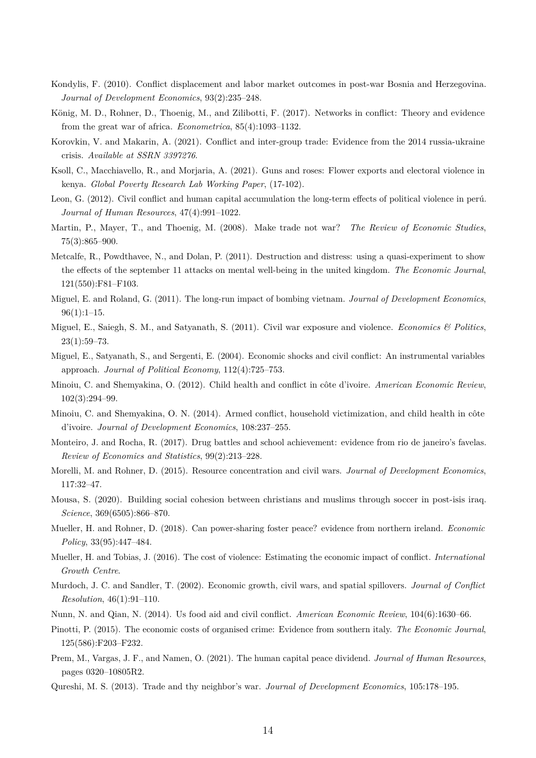- <span id="page-14-14"></span>Kondylis, F. (2010). Conflict displacement and labor market outcomes in post-war Bosnia and Herzegovina. *Journal of Development Economics*, 93(2):235–248.
- <span id="page-14-17"></span>König, M. D., Rohner, D., Thoenig, M., and Zilibotti, F. (2017). Networks in conflict: Theory and evidence from the great war of africa. *Econometrica*, 85(4):1093–1132.
- <span id="page-14-13"></span>Korovkin, V. and Makarin, A. (2021). Conflict and inter-group trade: Evidence from the 2014 russia-ukraine crisis. *Available at SSRN 3397276*.
- <span id="page-14-12"></span>Ksoll, C., Macchiavello, R., and Morjaria, A. (2021). Guns and roses: Flower exports and electoral violence in kenya. *Global Poverty Research Lab Working Paper*, (17-102).
- <span id="page-14-0"></span>Leon, G. (2012). Civil conflict and human capital accumulation the long-term effects of political violence in perú. *Journal of Human Resources*, 47(4):991–1022.
- <span id="page-14-15"></span>Martin, P., Mayer, T., and Thoenig, M. (2008). Make trade not war? *The Review of Economic Studies*, 75(3):865–900.
- <span id="page-14-5"></span>Metcalfe, R., Powdthavee, N., and Dolan, P. (2011). Destruction and distress: using a quasi-experiment to show the effects of the september 11 attacks on mental well-being in the united kingdom. *The Economic Journal*, 121(550):F81–F103.
- <span id="page-14-8"></span>Miguel, E. and Roland, G. (2011). The long-run impact of bombing vietnam. *Journal of Development Economics*,  $96(1):1-15.$
- <span id="page-14-6"></span>Miguel, E., Saiegh, S. M., and Satyanath, S. (2011). Civil war exposure and violence. *Economics & Politics*, 23(1):59–73.
- <span id="page-14-16"></span>Miguel, E., Satyanath, S., and Sergenti, E. (2004). Economic shocks and civil conflict: An instrumental variables approach. *Journal of Political Economy*, 112(4):725–753.
- <span id="page-14-3"></span>Minoiu, C. and Shemyakina, O. (2012). Child health and conflict in côte d'ivoire. *American Economic Review*, 102(3):294–99.
- <span id="page-14-4"></span>Minoiu, C. and Shemyakina, O. N. (2014). Armed conflict, household victimization, and child health in côte d'ivoire. *Journal of Development Economics*, 108:237–255.
- <span id="page-14-2"></span>Monteiro, J. and Rocha, R. (2017). Drug battles and school achievement: evidence from rio de janeiro's favelas. *Review of Economics and Statistics*, 99(2):213–228.
- <span id="page-14-21"></span>Morelli, M. and Rohner, D. (2015). Resource concentration and civil wars. *Journal of Development Economics*, 117:32–47.
- <span id="page-14-19"></span>Mousa, S. (2020). Building social cohesion between christians and muslims through soccer in post-isis iraq. *Science*, 369(6505):866–870.
- <span id="page-14-20"></span>Mueller, H. and Rohner, D. (2018). Can power-sharing foster peace? evidence from northern ireland. *Economic Policy*, 33(95):447–484.
- <span id="page-14-7"></span>Mueller, H. and Tobias, J. (2016). The cost of violence: Estimating the economic impact of conflict. *International Growth Centre*.
- <span id="page-14-10"></span>Murdoch, J. C. and Sandler, T. (2002). Economic growth, civil wars, and spatial spillovers. *Journal of Conflict Resolution*, 46(1):91–110.
- <span id="page-14-18"></span><span id="page-14-9"></span>Nunn, N. and Qian, N. (2014). Us food aid and civil conflict. *American Economic Review*, 104(6):1630–66.
- Pinotti, P. (2015). The economic costs of organised crime: Evidence from southern italy. *The Economic Journal*, 125(586):F203–F232.
- <span id="page-14-1"></span>Prem, M., Vargas, J. F., and Namen, O. (2021). The human capital peace dividend. *Journal of Human Resources*, pages 0320–10805R2.
- <span id="page-14-11"></span>Qureshi, M. S. (2013). Trade and thy neighbor's war. *Journal of Development Economics*, 105:178–195.